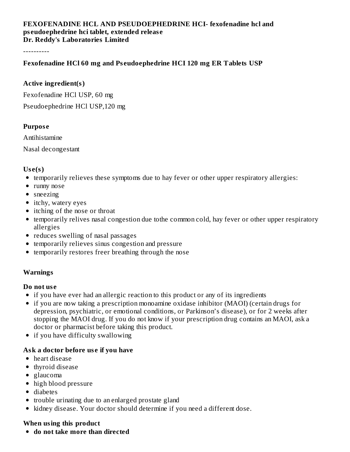### **FEXOFENADINE HCL AND PSEUDOEPHEDRINE HCI- fexofenadine hcl and ps eudoephedrine hci tablet, extended releas e Dr. Reddy's Laboratories Limited**

----------

### **Fexofenadine HCl 60 mg and Ps eudoephedrine HCI 120 mg ER Tablets USP**

#### **Active ingredient(s)**

Fexofenadine HCl USP, 60 mg

Pseudoephedrine HCl USP,120 mg

#### **Purpos e**

Antihistamine

Nasal decongestant

### **Us e(s)**

- temporarily relieves these symptoms due to hay fever or other upper respiratory allergies:
- runny nose
- sneezing
- itchy, watery eyes
- itching of the nose or throat
- temporarily relives nasal congestion due tothe common cold, hay fever or other upper respiratory allergies
- reduces swelling of nasal passages
- temporarily relieves sinus congestion and pressure
- temporarily restores freer breathing through the nose

#### **Warnings**

#### **Do not us e**

- if you have ever had an allergic reaction to this product or any of its ingredients
- if you are now taking a prescription monoamine oxidase inhibitor (MAOI) (certain drugs for depression, psychiatric, or emotional conditions, or Parkinson's disease), or for 2 weeks after stopping the MAOI drug. If you do not know if your prescription drug contains an MAOI, ask a doctor or pharmacist before taking this product.
- if you have difficulty swallowing

## **Ask a doctor before us e if you have**

- heart disease
- thyroid disease
- glaucoma
- high blood pressure
- diabetes
- trouble urinating due to an enlarged prostate gland
- kidney disease. Your doctor should determine if you need a different dose.

## **When using this product**

**do not take more than directed**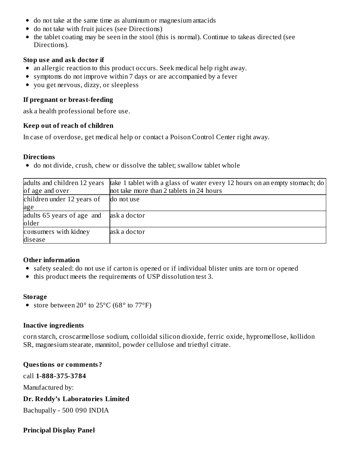- do not take at the same time as aluminum or magnesium antacids
- do not take with fruit juices (see Directions)
- the tablet coating may be seen in the stool (this is normal). Continue to takeas directed (see Directions).

### **Stop us e and ask doctor if**

- an allergic reaction to this product occurs. Seek medical help right away.
- symptoms do not improve within 7 days or are accompanied by a fever
- you get nervous, dizzy, or sleepless

## **If pregnant or breast-feeding**

ask a health professional before use.

### **Keep out of reach of children**

In case of overdose, get medical help or contact a Poison Control Center right away.

#### **Directions**

• do not divide, crush, chew or dissolve the tablet; swallow tablet whole

| adults and children 12 years<br>of age and over | take 1 tablet with a glass of water every 12 hours on an empty stomach; do<br>not take more than 2 tablets in 24 hours |
|-------------------------------------------------|------------------------------------------------------------------------------------------------------------------------|
| children under 12 years of                      | do not use                                                                                                             |
| age                                             |                                                                                                                        |
| adults 65 years of age and                      | ask a doctor                                                                                                           |
| older                                           |                                                                                                                        |
| consumers with kidney                           | ask a doctor                                                                                                           |
| disease                                         |                                                                                                                        |

## **Other information**

- safety sealed: do not use if carton is opened or if individual blister units are torn or opened
- this product meets the requirements of USP dissolution test 3.

#### **Storage**

• store between 20° to 25°C (68° to 77°F)

## **Inactive ingredients**

corn starch, croscarmellose sodium, colloidal silicon dioxide, ferric oxide, hypromellose, kollidon SR, magnesium stearate, mannitol, powder cellulose and triethyl citrate.

## **Questions or comments?**

call **1-888-375-3784**

Manufactured by:

**Dr. Reddy's Laboratories Limited**

Bachupally - 500 090 INDIA

## **Principal Display Panel**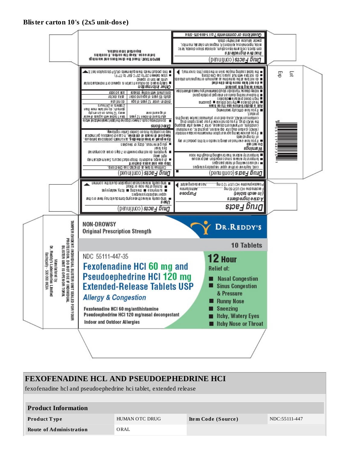#### **Blister carton 10's (2x5 unit-dos e)**



# **FEXOFENADINE HCL AND PSEUDOEPHEDRINE HCI** fexofenadine hcl and pseudoephedrine hci tablet, extended release **Product Information Product T ype** HUMAN OTC DRUG **Ite m Code (Source )** NDC:55111-447 **Route of Administration** ORAL